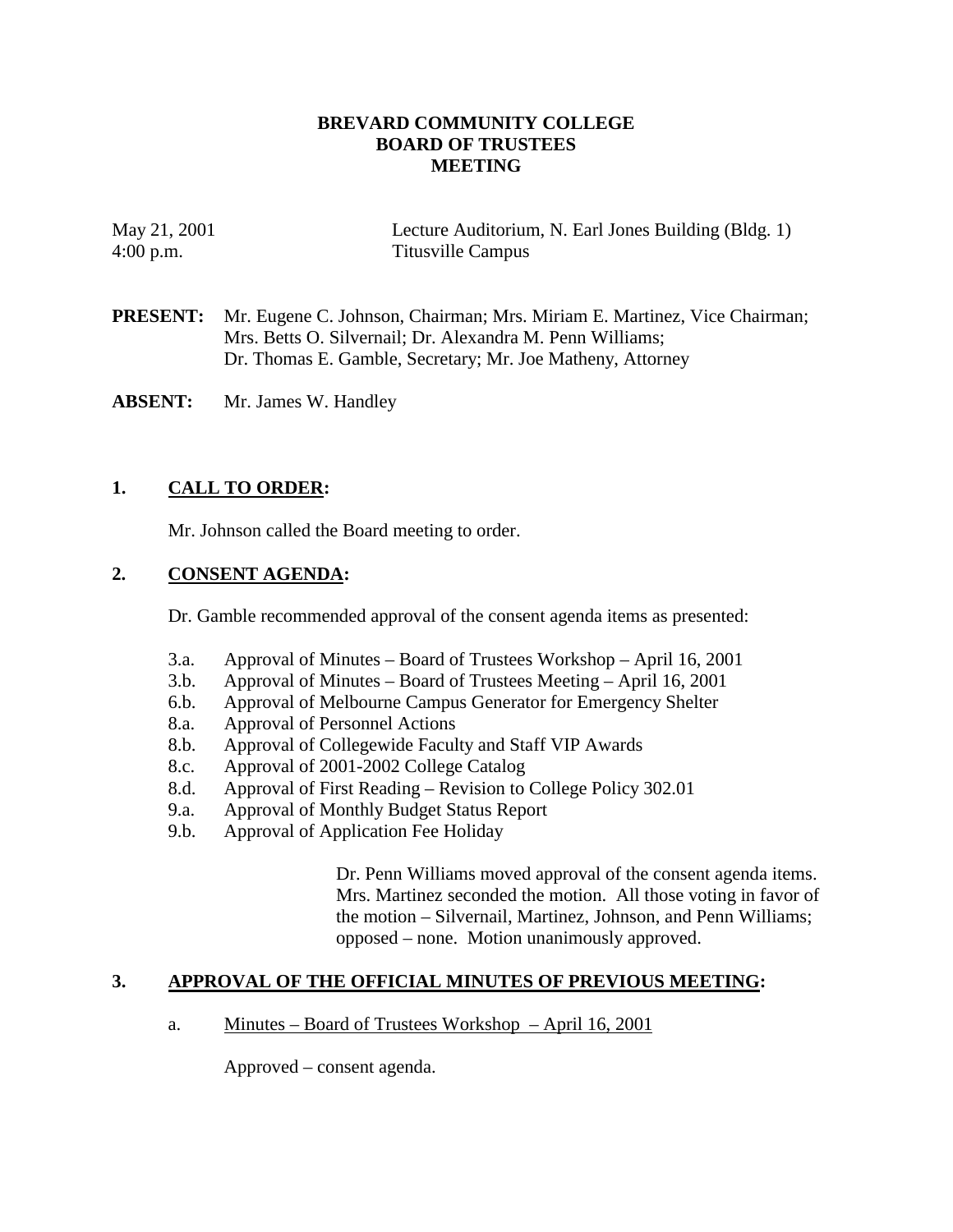# **BREVARD COMMUNITY COLLEGE BOARD OF TRUSTEES MEETING**

| May 21, 2001 | Lecture Auditorium, N. Earl Jones Building (Bldg. 1) |
|--------------|------------------------------------------------------|
| $4:00$ p.m.  | Titusville Campus                                    |

**PRESENT:** Mr. Eugene C. Johnson, Chairman; Mrs. Miriam E. Martinez, Vice Chairman; Mrs. Betts O. Silvernail; Dr. Alexandra M. Penn Williams; Dr. Thomas E. Gamble, Secretary; Mr. Joe Matheny, Attorney

**ABSENT:** Mr. James W. Handley

# **1. CALL TO ORDER:**

Mr. Johnson called the Board meeting to order.

# **2. CONSENT AGENDA:**

Dr. Gamble recommended approval of the consent agenda items as presented:

- 3.a. Approval of Minutes Board of Trustees Workshop April 16, 2001
- 3.b. Approval of Minutes Board of Trustees Meeting April 16, 2001
- 6.b. Approval of Melbourne Campus Generator for Emergency Shelter
- 8.a. Approval of Personnel Actions
- 8.b. Approval of Collegewide Faculty and Staff VIP Awards
- 8.c. Approval of 2001-2002 College Catalog
- 8.d. Approval of First Reading Revision to College Policy 302.01
- 9.a. Approval of Monthly Budget Status Report
- 9.b. Approval of Application Fee Holiday

Dr. Penn Williams moved approval of the consent agenda items. Mrs. Martinez seconded the motion. All those voting in favor of the motion – Silvernail, Martinez, Johnson, and Penn Williams; opposed – none. Motion unanimously approved.

### **3. APPROVAL OF THE OFFICIAL MINUTES OF PREVIOUS MEETING:**

a. Minutes – Board of Trustees Workshop – April 16, 2001

Approved – consent agenda.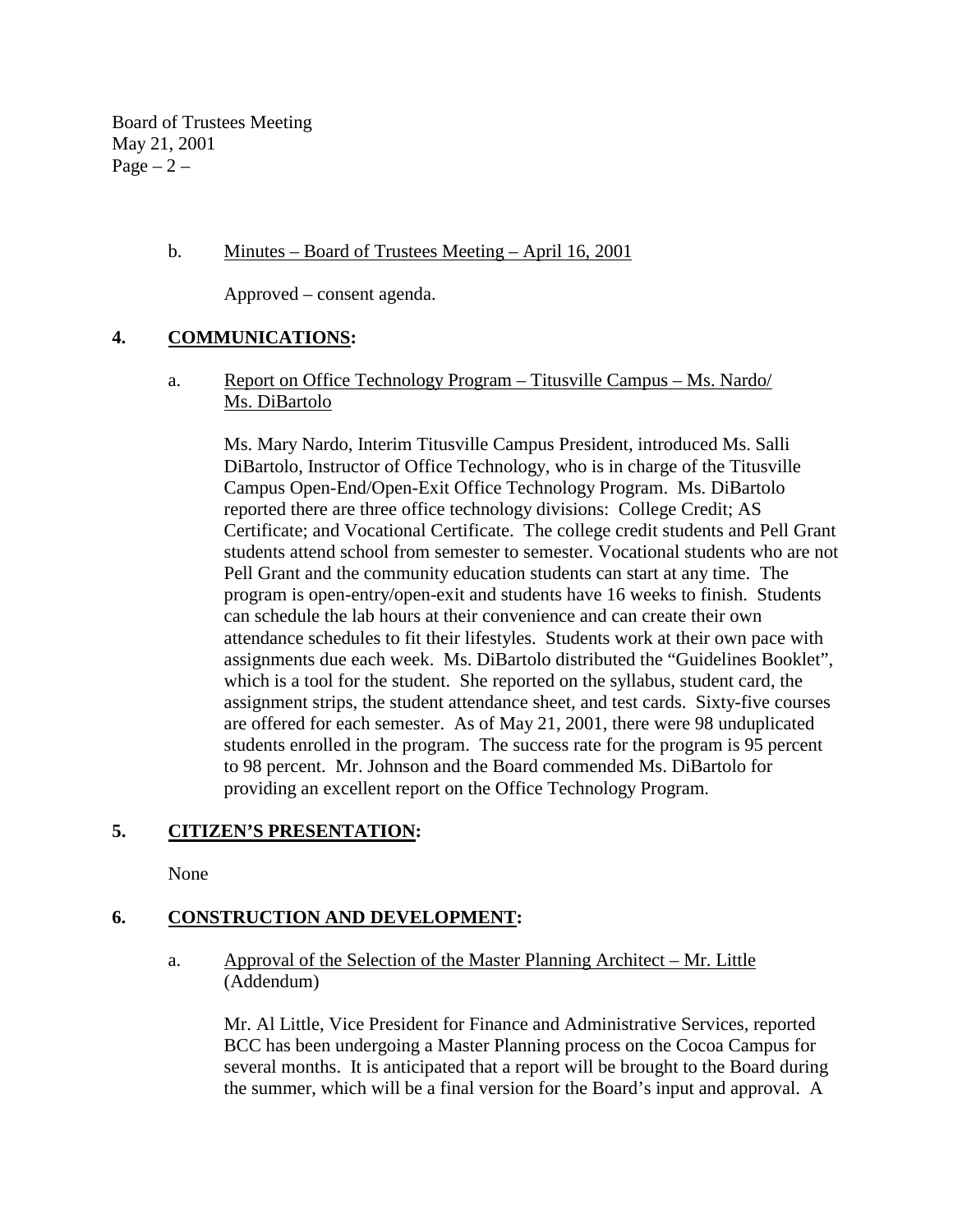Board of Trustees Meeting May 21, 2001 Page  $-2$  –

# b. Minutes – Board of Trustees Meeting – April 16, 2001

Approved – consent agenda.

# **4. COMMUNICATIONS:**

 a. Report on Office Technology Program – Titusville Campus – Ms. Nardo/ Ms. DiBartolo

Ms. Mary Nardo, Interim Titusville Campus President, introduced Ms. Salli DiBartolo, Instructor of Office Technology, who is in charge of the Titusville Campus Open-End/Open-Exit Office Technology Program. Ms. DiBartolo reported there are three office technology divisions: College Credit; AS Certificate; and Vocational Certificate. The college credit students and Pell Grant students attend school from semester to semester. Vocational students who are not Pell Grant and the community education students can start at any time. The program is open-entry/open-exit and students have 16 weeks to finish. Students can schedule the lab hours at their convenience and can create their own attendance schedules to fit their lifestyles. Students work at their own pace with assignments due each week. Ms. DiBartolo distributed the "Guidelines Booklet", which is a tool for the student. She reported on the syllabus, student card, the assignment strips, the student attendance sheet, and test cards. Sixty-five courses are offered for each semester. As of May 21, 2001, there were 98 unduplicated students enrolled in the program. The success rate for the program is 95 percent to 98 percent. Mr. Johnson and the Board commended Ms. DiBartolo for providing an excellent report on the Office Technology Program.

# **5. CITIZEN'S PRESENTATION:**

None

### **6. CONSTRUCTION AND DEVELOPMENT:**

a. Approval of the Selection of the Master Planning Architect – Mr. Little (Addendum)

Mr. Al Little, Vice President for Finance and Administrative Services, reported BCC has been undergoing a Master Planning process on the Cocoa Campus for several months. It is anticipated that a report will be brought to the Board during the summer, which will be a final version for the Board's input and approval. A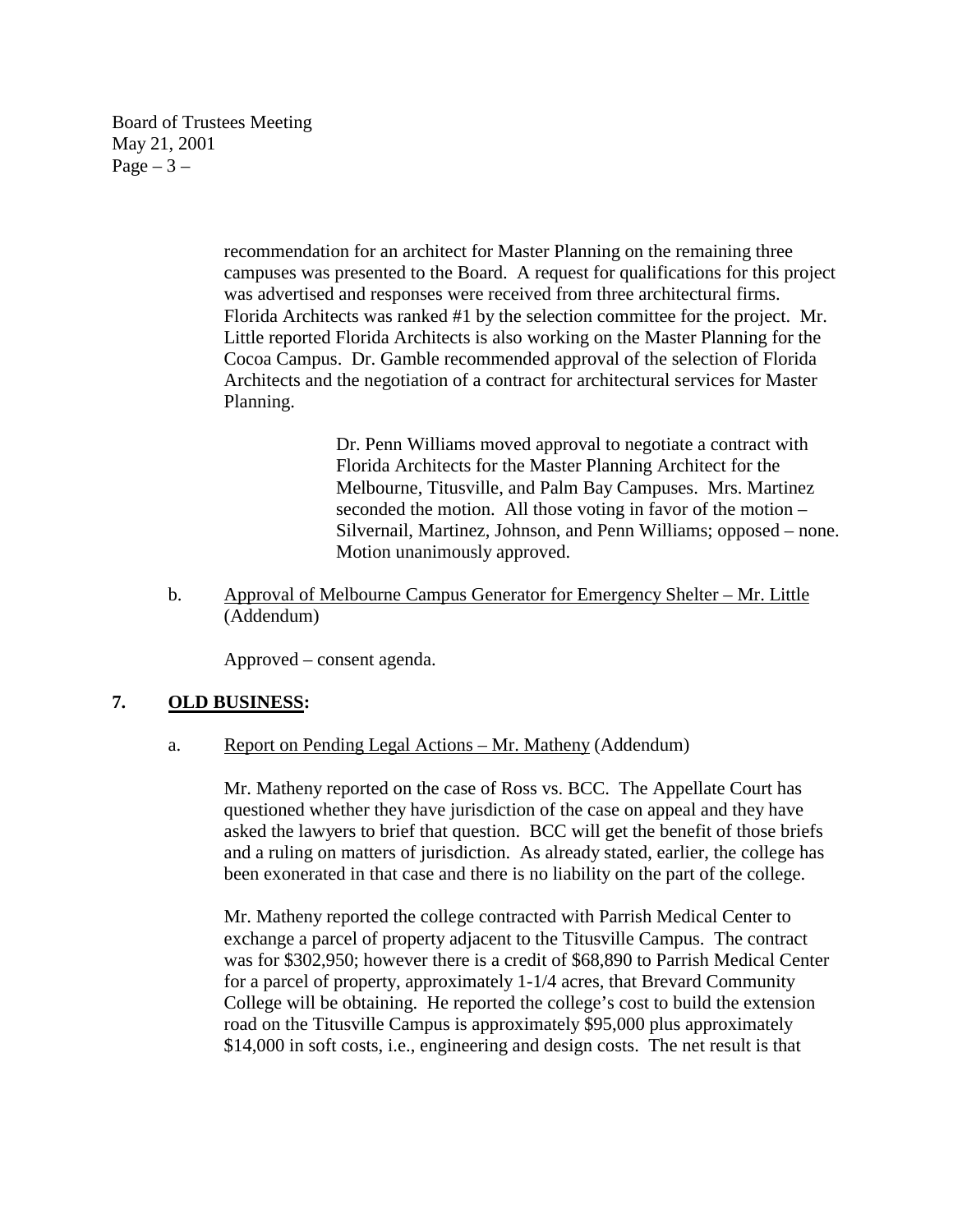Board of Trustees Meeting May 21, 2001 Page  $-3-$ 

> recommendation for an architect for Master Planning on the remaining three campuses was presented to the Board. A request for qualifications for this project was advertised and responses were received from three architectural firms. Florida Architects was ranked #1 by the selection committee for the project. Mr. Little reported Florida Architects is also working on the Master Planning for the Cocoa Campus. Dr. Gamble recommended approval of the selection of Florida Architects and the negotiation of a contract for architectural services for Master Planning.

> > Dr. Penn Williams moved approval to negotiate a contract with Florida Architects for the Master Planning Architect for the Melbourne, Titusville, and Palm Bay Campuses. Mrs. Martinez seconded the motion. All those voting in favor of the motion – Silvernail, Martinez, Johnson, and Penn Williams; opposed – none. Motion unanimously approved.

b. Approval of Melbourne Campus Generator for Emergency Shelter – Mr. Little (Addendum)

Approved – consent agenda.

### **7. OLD BUSINESS:**

a. Report on Pending Legal Actions – Mr. Matheny (Addendum)

Mr. Matheny reported on the case of Ross vs. BCC. The Appellate Court has questioned whether they have jurisdiction of the case on appeal and they have asked the lawyers to brief that question. BCC will get the benefit of those briefs and a ruling on matters of jurisdiction. As already stated, earlier, the college has been exonerated in that case and there is no liability on the part of the college.

Mr. Matheny reported the college contracted with Parrish Medical Center to exchange a parcel of property adjacent to the Titusville Campus. The contract was for \$302,950; however there is a credit of \$68,890 to Parrish Medical Center for a parcel of property, approximately 1-1/4 acres, that Brevard Community College will be obtaining. He reported the college's cost to build the extension road on the Titusville Campus is approximately \$95,000 plus approximately \$14,000 in soft costs, i.e., engineering and design costs. The net result is that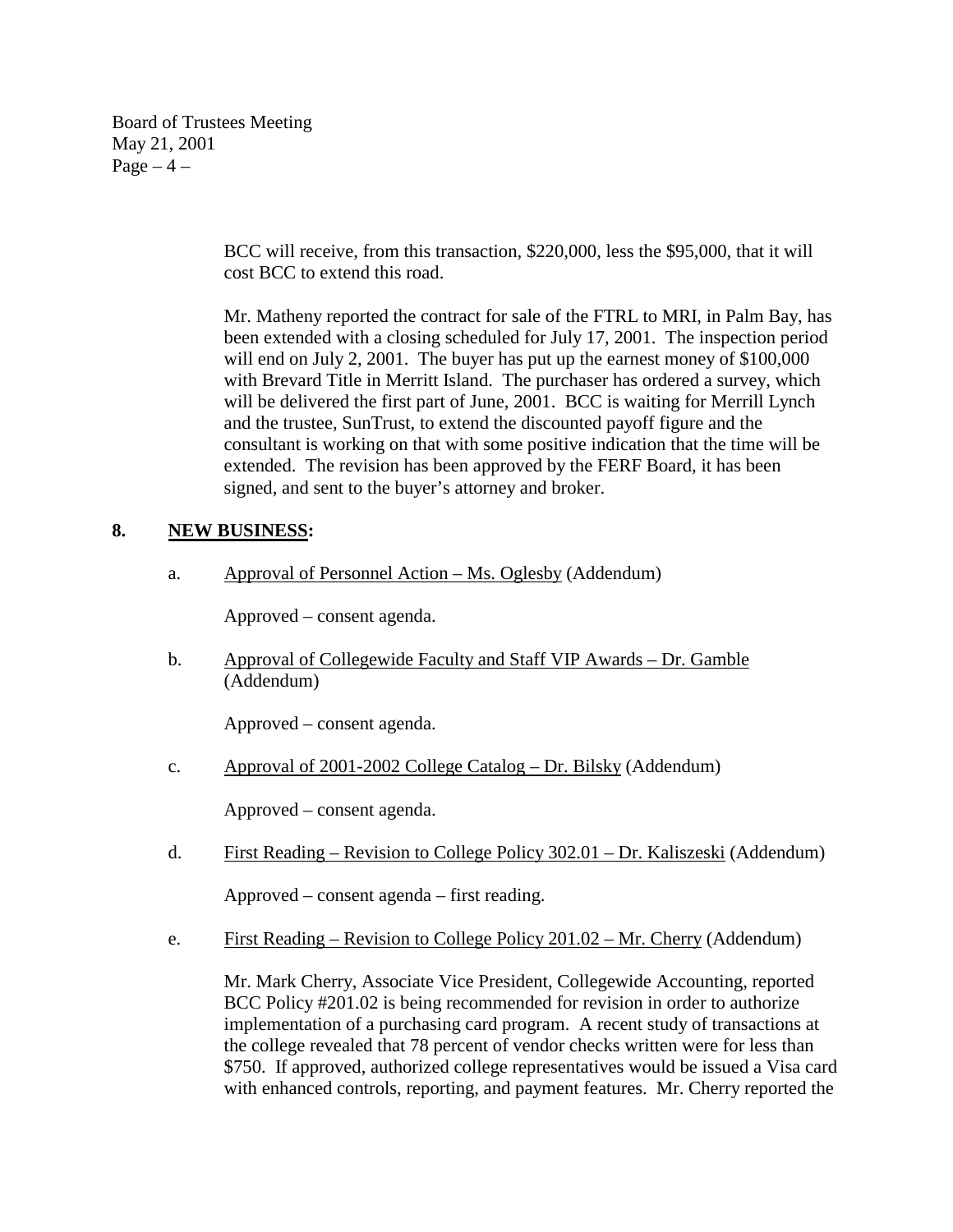Board of Trustees Meeting May 21, 2001 Page  $-4$  –

> BCC will receive, from this transaction, \$220,000, less the \$95,000, that it will cost BCC to extend this road.

Mr. Matheny reported the contract for sale of the FTRL to MRI, in Palm Bay, has been extended with a closing scheduled for July 17, 2001. The inspection period will end on July 2, 2001. The buyer has put up the earnest money of \$100,000 with Brevard Title in Merritt Island. The purchaser has ordered a survey, which will be delivered the first part of June, 2001. BCC is waiting for Merrill Lynch and the trustee, SunTrust, to extend the discounted payoff figure and the consultant is working on that with some positive indication that the time will be extended. The revision has been approved by the FERF Board, it has been signed, and sent to the buyer's attorney and broker.

# **8. NEW BUSINESS:**

a. Approval of Personnel Action – Ms. Oglesby (Addendum)

Approved – consent agenda.

b. Approval of Collegewide Faculty and Staff VIP Awards – Dr. Gamble (Addendum)

Approved – consent agenda.

c. Approval of 2001-2002 College Catalog – Dr. Bilsky (Addendum)

Approved – consent agenda.

d. First Reading – Revision to College Policy 302.01 – Dr. Kaliszeski (Addendum)

Approved – consent agenda – first reading.

e. First Reading – Revision to College Policy 201.02 – Mr. Cherry (Addendum)

Mr. Mark Cherry, Associate Vice President, Collegewide Accounting, reported BCC Policy #201.02 is being recommended for revision in order to authorize implementation of a purchasing card program. A recent study of transactions at the college revealed that 78 percent of vendor checks written were for less than \$750. If approved, authorized college representatives would be issued a Visa card with enhanced controls, reporting, and payment features. Mr. Cherry reported the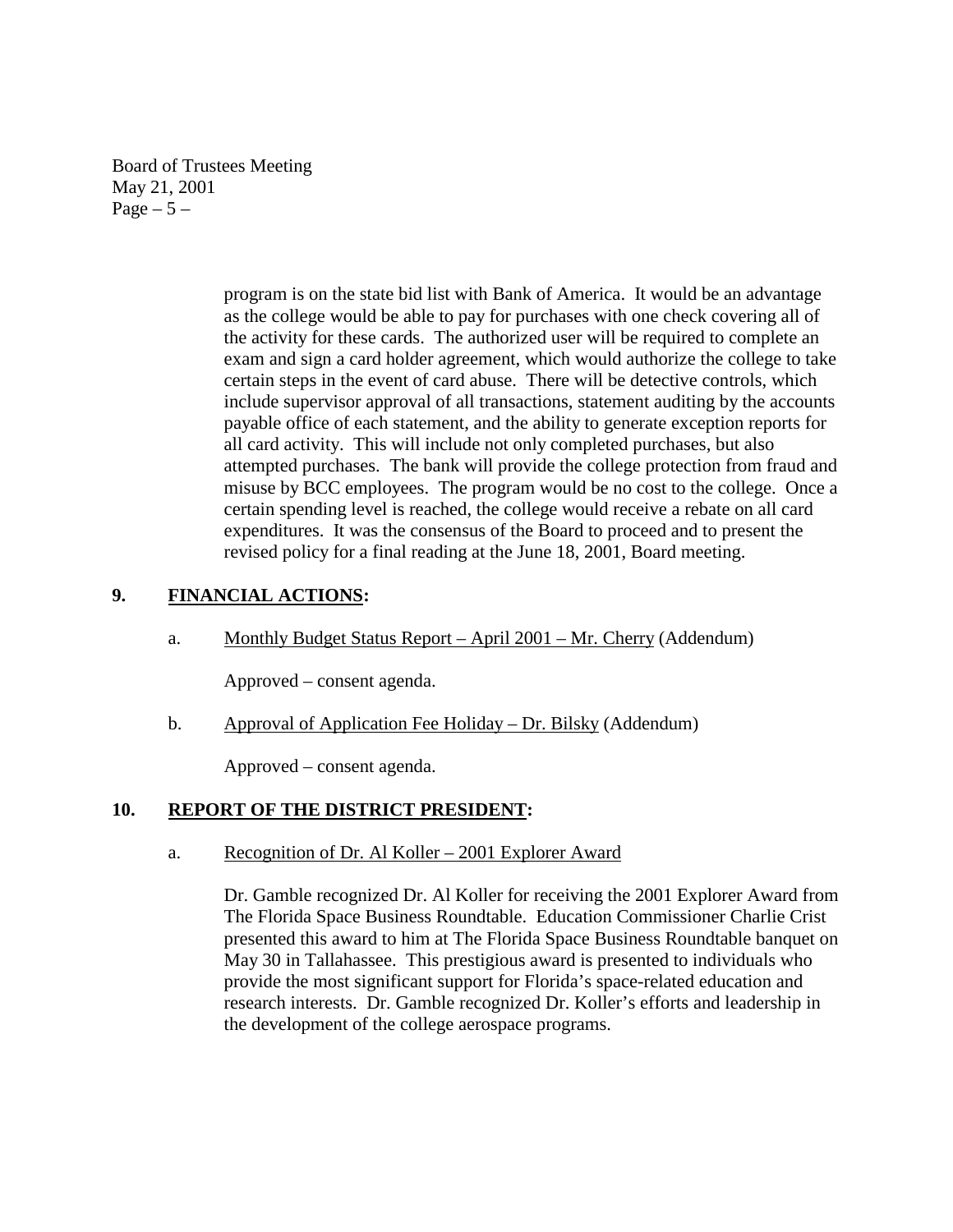Board of Trustees Meeting May 21, 2001  $Page - 5 -$ 

> program is on the state bid list with Bank of America. It would be an advantage as the college would be able to pay for purchases with one check covering all of the activity for these cards. The authorized user will be required to complete an exam and sign a card holder agreement, which would authorize the college to take certain steps in the event of card abuse. There will be detective controls, which include supervisor approval of all transactions, statement auditing by the accounts payable office of each statement, and the ability to generate exception reports for all card activity. This will include not only completed purchases, but also attempted purchases. The bank will provide the college protection from fraud and misuse by BCC employees. The program would be no cost to the college. Once a certain spending level is reached, the college would receive a rebate on all card expenditures. It was the consensus of the Board to proceed and to present the revised policy for a final reading at the June 18, 2001, Board meeting.

# **9. FINANCIAL ACTIONS:**

a. Monthly Budget Status Report – April 2001 – Mr. Cherry (Addendum)

Approved – consent agenda.

b. Approval of Application Fee Holiday – Dr. Bilsky (Addendum)

Approved – consent agenda.

### **10. REPORT OF THE DISTRICT PRESIDENT:**

a. Recognition of Dr. Al Koller – 2001 Explorer Award

Dr. Gamble recognized Dr. Al Koller for receiving the 2001 Explorer Award from The Florida Space Business Roundtable. Education Commissioner Charlie Crist presented this award to him at The Florida Space Business Roundtable banquet on May 30 in Tallahassee. This prestigious award is presented to individuals who provide the most significant support for Florida's space-related education and research interests. Dr. Gamble recognized Dr. Koller's efforts and leadership in the development of the college aerospace programs.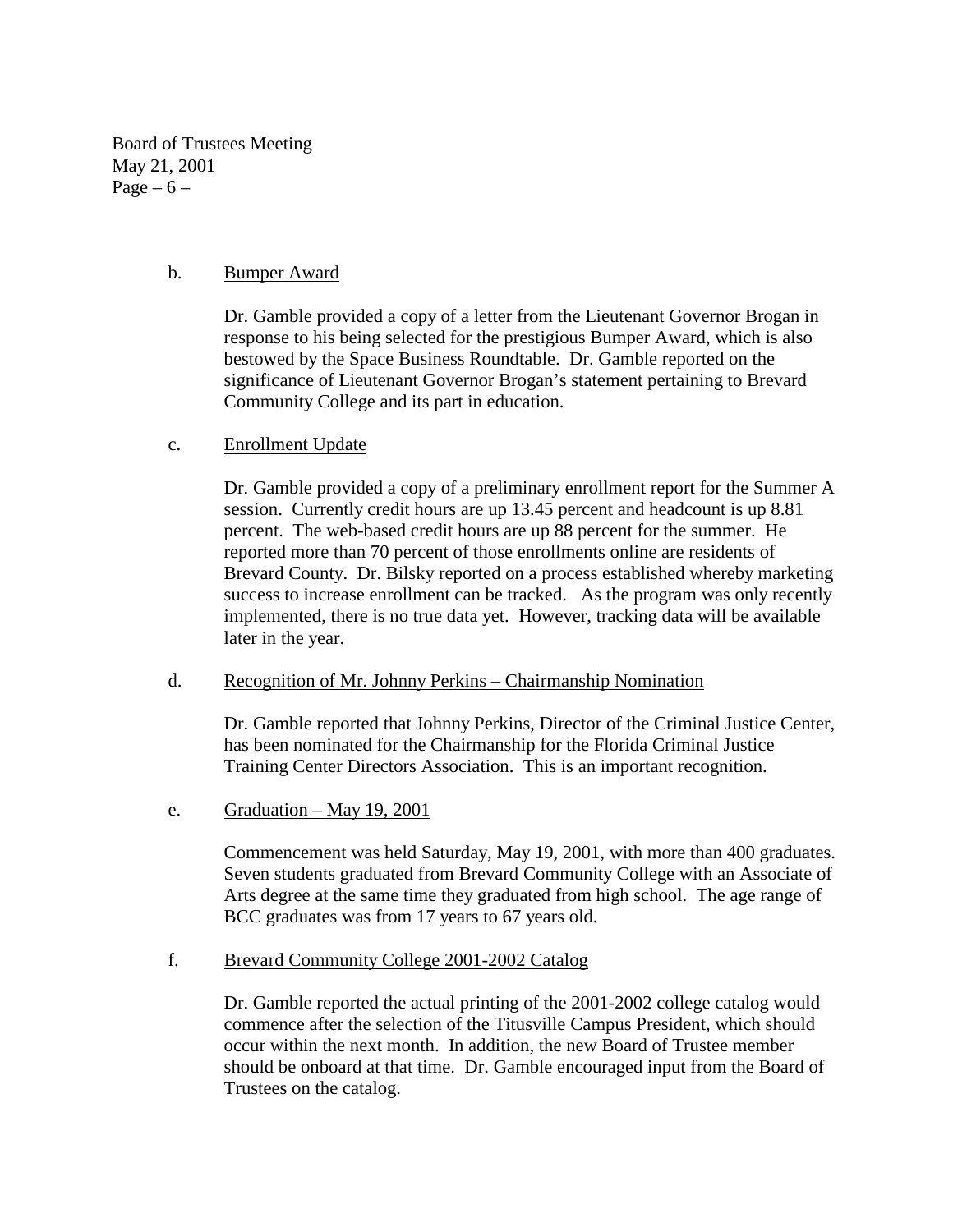Board of Trustees Meeting May 21, 2001 Page –  $6$  –

#### b. Bumper Award

Dr. Gamble provided a copy of a letter from the Lieutenant Governor Brogan in response to his being selected for the prestigious Bumper Award, which is also bestowed by the Space Business Roundtable. Dr. Gamble reported on the significance of Lieutenant Governor Brogan's statement pertaining to Brevard Community College and its part in education.

### c. Enrollment Update

Dr. Gamble provided a copy of a preliminary enrollment report for the Summer A session. Currently credit hours are up 13.45 percent and headcount is up 8.81 percent. The web-based credit hours are up 88 percent for the summer. He reported more than 70 percent of those enrollments online are residents of Brevard County. Dr. Bilsky reported on a process established whereby marketing success to increase enrollment can be tracked. As the program was only recently implemented, there is no true data yet. However, tracking data will be available later in the year.

#### d. Recognition of Mr. Johnny Perkins – Chairmanship Nomination

Dr. Gamble reported that Johnny Perkins, Director of the Criminal Justice Center, has been nominated for the Chairmanship for the Florida Criminal Justice Training Center Directors Association. This is an important recognition.

e. Graduation – May 19, 2001

Commencement was held Saturday, May 19, 2001, with more than 400 graduates. Seven students graduated from Brevard Community College with an Associate of Arts degree at the same time they graduated from high school. The age range of BCC graduates was from 17 years to 67 years old.

### f. Brevard Community College 2001-2002 Catalog

Dr. Gamble reported the actual printing of the 2001-2002 college catalog would commence after the selection of the Titusville Campus President, which should occur within the next month. In addition, the new Board of Trustee member should be onboard at that time. Dr. Gamble encouraged input from the Board of Trustees on the catalog.